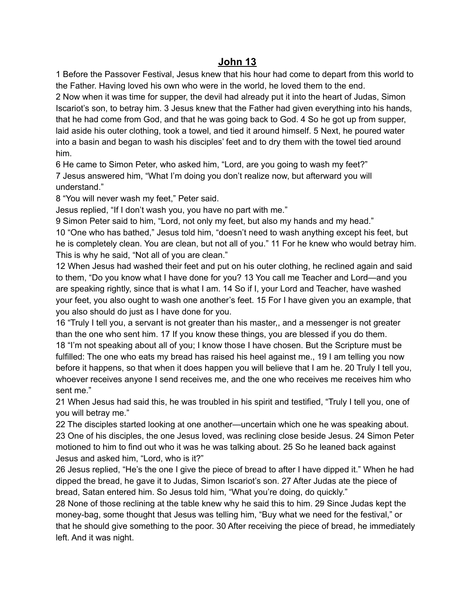## **John 13**

1 Before the Passover Festival, Jesus knew that his hour had come to depart from this world to the Father. Having loved his own who were in the world, he loved them to the end.

2 Now when it was time for supper, the devil had already put it into the heart of Judas, Simon Iscariot's son, to betray him. 3 Jesus knew that the Father had given everything into his hands, that he had come from God, and that he was going back to God. 4 So he got up from supper, laid aside his outer clothing, took a towel, and tied it around himself. 5 Next, he poured water into a basin and began to wash his disciples' feet and to dry them with the towel tied around him.

6 He came to Simon Peter, who asked him, "Lord, are you going to wash my feet?" 7 Jesus answered him, "What I'm doing you don't realize now, but afterward you will understand."

8 "You will never wash my feet," Peter said.

Jesus replied, "If I don't wash you, you have no part with me."

9 Simon Peter said to him, "Lord, not only my feet, but also my hands and my head." 10 "One who has bathed," Jesus told him, "doesn't need to wash anything except his feet, but he is completely clean. You are clean, but not all of you." 11 For he knew who would betray him. This is why he said, "Not all of you are clean."

12 When Jesus had washed their feet and put on his outer clothing, he reclined again and said to them, "Do you know what I have done for you? 13 You call me Teacher and Lord—and you are speaking rightly, since that is what I am. 14 So if I, your Lord and Teacher, have washed your feet, you also ought to wash one another's feet. 15 For I have given you an example, that you also should do just as I have done for you.

16 "Truly I tell you, a servant is not greater than his master,, and a messenger is not greater than the one who sent him. 17 If you know these things, you are blessed if you do them. 18 "I'm not speaking about all of you; I know those I have chosen. But the Scripture must be fulfilled: The one who eats my bread has raised his heel against me., 19 I am telling you now before it happens, so that when it does happen you will believe that I am he. 20 Truly I tell you, whoever receives anyone I send receives me, and the one who receives me receives him who sent me."

21 When Jesus had said this, he was troubled in his spirit and testified, "Truly I tell you, one of you will betray me."

22 The disciples started looking at one another—uncertain which one he was speaking about. 23 One of his disciples, the one Jesus loved, was reclining close beside Jesus. 24 Simon Peter motioned to him to find out who it was he was talking about. 25 So he leaned back against Jesus and asked him, "Lord, who is it?"

26 Jesus replied, "He's the one I give the piece of bread to after I have dipped it." When he had dipped the bread, he gave it to Judas, Simon Iscariot's son. 27 After Judas ate the piece of bread, Satan entered him. So Jesus told him, "What you're doing, do quickly."

28 None of those reclining at the table knew why he said this to him. 29 Since Judas kept the money-bag, some thought that Jesus was telling him, "Buy what we need for the festival," or that he should give something to the poor. 30 After receiving the piece of bread, he immediately left. And it was night.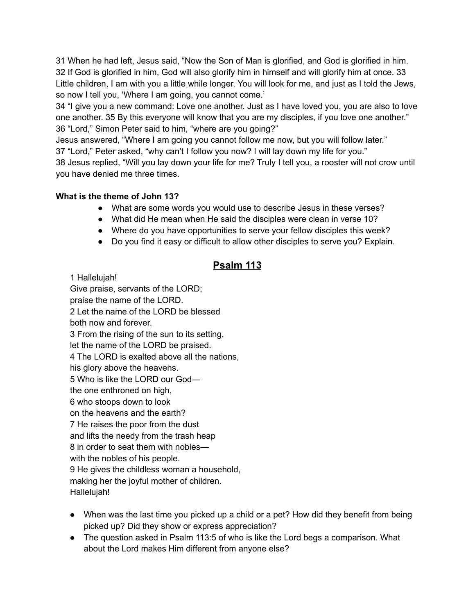31 When he had left, Jesus said, "Now the Son of Man is glorified, and God is glorified in him. 32 If God is glorified in him, God will also glorify him in himself and will glorify him at once. 33 Little children, I am with you a little while longer. You will look for me, and just as I told the Jews, so now I tell you, 'Where I am going, you cannot come.'

34 "I give you a new command: Love one another. Just as I have loved you, you are also to love one another. 35 By this everyone will know that you are my disciples, if you love one another." 36 "Lord," Simon Peter said to him, "where are you going?"

Jesus answered, "Where I am going you cannot follow me now, but you will follow later." 37 "Lord," Peter asked, "why can't I follow you now? I will lay down my life for you." 38 Jesus replied, "Will you lay down your life for me? Truly I tell you, a rooster will not crow until you have denied me three times.

## **What is the theme of John 13?**

- What are some words you would use to describe Jesus in these verses?
- What did He mean when He said the disciples were clean in verse 10?
- Where do you have opportunities to serve your fellow disciples this week?
- Do you find it easy or difficult to allow other disciples to serve you? Explain.

## **Psalm 113**

1 Hallelujah!

Give praise, servants of the LORD; praise the name of the LORD. 2 Let the name of the LORD be blessed both now and forever. 3 From the rising of the sun to its setting, let the name of the LORD be praised. 4 The LORD is exalted above all the nations, his glory above the heavens. 5 Who is like the LORD our God the one enthroned on high, 6 who stoops down to look on the heavens and the earth? 7 He raises the poor from the dust and lifts the needy from the trash heap 8 in order to seat them with nobles with the nobles of his people. 9 He gives the childless woman a household, making her the joyful mother of children. Hallelujah!

- When was the last time you picked up a child or a pet? How did they benefit from being picked up? Did they show or express appreciation?
- The question asked in Psalm 113:5 of who is like the Lord begs a comparison. What about the Lord makes Him different from anyone else?